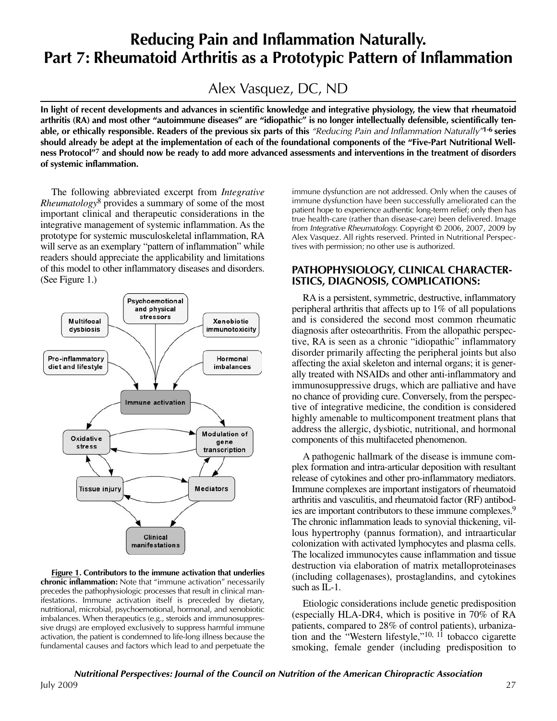# **Reducing Pain and Inflammation Naturally. Part 7: Rheumatoid Arthritis as a Prototypic Pattern of Inflammation**

Alex Vasquez, DC, ND

**In light of recent developments and advances in scientific knowledge and integrative physiology, the view that rheumatoid arthritis (RA) and most other "autoimmune diseases" are "idiopathic" is no longer intellectually defensible, scientifically tenable, or ethically responsible. Readers of the previous six parts of this** "Reducing Pain and Inflammation Naturally"**1-6 series should already be adept at the implementation of each of the foundational components of the "Five-Part Nutritional Wellness Protocol"7 and should now be ready to add more advanced assessments and interventions in the treatment of disorders of systemic inflammation.** 

The following abbreviated excerpt from *Integrative Rheumatology*<sup>8</sup> provides a summary of some of the most important clinical and therapeutic considerations in the integrative management of systemic inflammation. As the prototype for systemic musculoskeletal inflammation, RA will serve as an exemplary "pattern of inflammation" while readers should appreciate the applicability and limitations of this model to other inflammatory diseases and disorders. (See Figure 1.)



**Figure 1. Contributors to the immune activation that underlies chronic inflammation:** Note that "immune activation" necessarily precedes the pathophysiologic processes that result in clinical manifestations. Immune activation itself is preceded by dietary, nutritional, microbial, psychoemotional, hormonal, and xenobiotic imbalances. When therapeutics (e.g., steroids and immunosuppressive drugs) are employed exclusively to suppress harmful immune activation, the patient is condemned to life-long illness because the fundamental causes and factors which lead to and perpetuate the

immune dysfunction are not addressed. Only when the causes of immune dysfunction have been successfully ameliorated can the patient hope to experience authentic long-term relief; only then has true health-care (rather than disease-care) been delivered. Image from Integrative Rheumatology. Copyright © 2006, 2007, 2009 by Alex Vasquez. All rights reserved. Printed in Nutritional Perspectives with permission; no other use is authorized.

#### **PATHOPHYSIOLOGY, CLINICAL CHARACTER-ISTICS, DIAGNOSIS, COMPLICATIONS:**

RA is a persistent, symmetric, destructive, inflammatory peripheral arthritis that affects up to 1% of all populations and is considered the second most common rheumatic diagnosis after osteoarthritis. From the allopathic perspective, RA is seen as a chronic "idiopathic" inflammatory disorder primarily affecting the peripheral joints but also affecting the axial skeleton and internal organs; it is generally treated with NSAIDs and other anti-inflammatory and immunosuppressive drugs, which are palliative and have no chance of providing cure. Conversely, from the perspective of integrative medicine, the condition is considered highly amenable to multicomponent treatment plans that address the allergic, dysbiotic, nutritional, and hormonal components of this multifaceted phenomenon.

A pathogenic hallmark of the disease is immune complex formation and intra-articular deposition with resultant release of cytokines and other pro-inflammatory mediators. Immune complexes are important instigators of rheumatoid arthritis and vasculitis, and rheumatoid factor (RF) antibodies are important contributors to these immune complexes.9 The chronic inflammation leads to synovial thickening, villous hypertrophy (pannus formation), and intraarticular colonization with activated lymphocytes and plasma cells. The localized immunocytes cause inflammation and tissue destruction via elaboration of matrix metalloproteinases (including collagenases), prostaglandins, and cytokines such as IL-1.

Etiologic considerations include genetic predisposition (especially HLA-DR4, which is positive in 70% of RA patients, compared to 28% of control patients), urbanization and the "Western lifestyle,"<sup>10, 11</sup> tobacco cigarette smoking, female gender (including predisposition to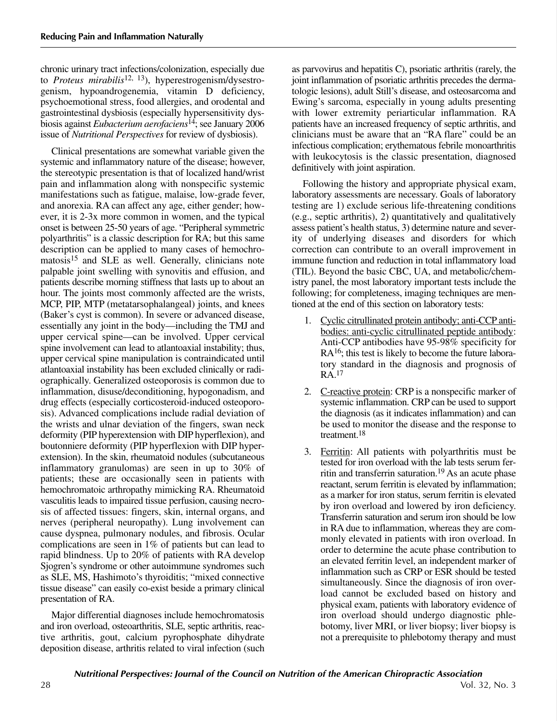chronic urinary tract infections/colonization, especially due to *Proteus mirabilis*12, 13), hyperestrogenism/dysestrogenism, hypoandrogenemia, vitamin D deficiency, psychoemotional stress, food allergies, and orodental and gastrointestinal dysbiosis (especially hypersensitivity dysbiosis against *Eubacterium aerofaciens*14; see January 2006 issue of *Nutritional Perspectives* for review of dysbiosis).

Clinical presentations are somewhat variable given the systemic and inflammatory nature of the disease; however, the stereotypic presentation is that of localized hand/wrist pain and inflammation along with nonspecific systemic manifestations such as fatigue, malaise, low-grade fever, and anorexia. RA can affect any age, either gender; however, it is 2-3x more common in women, and the typical onset is between 25-50 years of age. "Peripheral symmetric polyarthritis" is a classic description for RA; but this same description can be applied to many cases of hemochromatosis<sup>15</sup> and SLE as well. Generally, clinicians note palpable joint swelling with synovitis and effusion, and patients describe morning stiffness that lasts up to about an hour. The joints most commonly affected are the wrists, MCP, PIP, MTP (metatarsophalangeal) joints, and knees (Baker's cyst is common). In severe or advanced disease, essentially any joint in the body—including the TMJ and upper cervical spine—can be involved. Upper cervical spine involvement can lead to atlantoaxial instability; thus, upper cervical spine manipulation is contraindicated until atlantoaxial instability has been excluded clinically or radiographically. Generalized osteoporosis is common due to inflammation, disuse/deconditioning, hypogonadism, and drug effects (especially corticosteroid-induced osteoporosis). Advanced complications include radial deviation of the wrists and ulnar deviation of the fingers, swan neck deformity (PIP hyperextension with DIP hyperflexion), and boutonniere deformity (PIP hyperflexion with DIP hyperextension). In the skin, rheumatoid nodules (subcutaneous inflammatory granulomas) are seen in up to 30% of patients; these are occasionally seen in patients with hemochromatoic arthropathy mimicking RA. Rheumatoid vasculitis leads to impaired tissue perfusion, causing necrosis of affected tissues: fingers, skin, internal organs, and nerves (peripheral neuropathy). Lung involvement can cause dyspnea, pulmonary nodules, and fibrosis. Ocular complications are seen in 1% of patients but can lead to rapid blindness. Up to 20% of patients with RA develop Sjogren's syndrome or other autoimmune syndromes such as SLE, MS, Hashimoto's thyroiditis; "mixed connective tissue disease" can easily co-exist beside a primary clinical presentation of RA.

Major differential diagnoses include hemochromatosis and iron overload, osteoarthritis, SLE, septic arthritis, reactive arthritis, gout, calcium pyrophosphate dihydrate deposition disease, arthritis related to viral infection (such as parvovirus and hepatitis C), psoriatic arthritis (rarely, the joint inflammation of psoriatic arthritis precedes the dermatologic lesions), adult Still's disease, and osteosarcoma and Ewing's sarcoma, especially in young adults presenting with lower extremity periarticular inflammation. RA patients have an increased frequency of septic arthritis, and clinicians must be aware that an "RA flare" could be an infectious complication; erythematous febrile monoarthritis with leukocytosis is the classic presentation, diagnosed definitively with joint aspiration.

Following the history and appropriate physical exam, laboratory assessments are necessary. Goals of laboratory testing are 1) exclude serious life-threatening conditions (e.g., septic arthritis), 2) quantitatively and qualitatively assess patient's health status, 3) determine nature and severity of underlying diseases and disorders for which correction can contribute to an overall improvement in immune function and reduction in total inflammatory load (TIL). Beyond the basic CBC, UA, and metabolic/chemistry panel, the most laboratory important tests include the following; for completeness, imaging techniques are mentioned at the end of this section on laboratory tests:

- 1. Cyclic citrullinated protein antibody; anti-CCP antibodies: anti-cyclic citrullinated peptide antibody: Anti-CCP antibodies have 95-98% specificity for RA<sup>16</sup>; this test is likely to become the future laboratory standard in the diagnosis and prognosis of RA.17
- 2. C-reactive protein: CRP is a nonspecific marker of systemic inflammation. CRP can be used to support the diagnosis (as it indicates inflammation) and can be used to monitor the disease and the response to treatment.18
- 3. Ferritin: All patients with polyarthritis must be tested for iron overload with the lab tests serum ferritin and transferrin saturation.19 As an acute phase reactant, serum ferritin is elevated by inflammation; as a marker for iron status, serum ferritin is elevated by iron overload and lowered by iron deficiency. Transferrin saturation and serum iron should be low in RA due to inflammation, whereas they are commonly elevated in patients with iron overload. In order to determine the acute phase contribution to an elevated ferritin level, an independent marker of inflammation such as CRP or ESR should be tested simultaneously. Since the diagnosis of iron overload cannot be excluded based on history and physical exam, patients with laboratory evidence of iron overload should undergo diagnostic phlebotomy, liver MRI, or liver biopsy; liver biopsy is not a prerequisite to phlebotomy therapy and must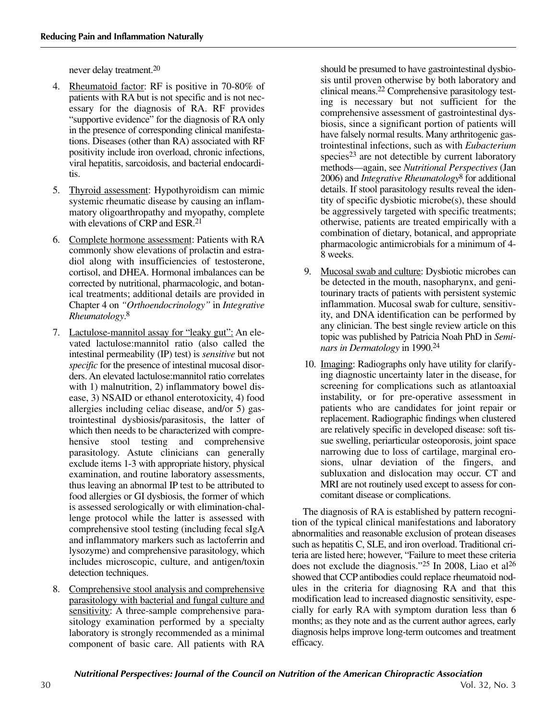never delay treatment.20

- 4. Rheumatoid factor: RF is positive in 70-80% of patients with RA but is not specific and is not necessary for the diagnosis of RA. RF provides "supportive evidence" for the diagnosis of RA only in the presence of corresponding clinical manifestations. Diseases (other than RA) associated with RF positivity include iron overload, chronic infections, viral hepatitis, sarcoidosis, and bacterial endocarditis.
- 5. Thyroid assessment: Hypothyroidism can mimic systemic rheumatic disease by causing an inflammatory oligoarthropathy and myopathy, complete with elevations of CRP and ESR.<sup>21</sup>
- 6. Complete hormone assessment: Patients with RA commonly show elevations of prolactin and estradiol along with insufficiencies of testosterone, cortisol, and DHEA. Hormonal imbalances can be corrected by nutritional, pharmacologic, and botanical treatments; additional details are provided in Chapter 4 on *"Orthoendocrinology"* in *Integrative Rheumatology*. 8
- 7. Lactulose-mannitol assay for "leaky gut": An elevated lactulose:mannitol ratio (also called the intestinal permeability (IP) test) is *sensitive* but not *specific* for the presence of intestinal mucosal disorders. An elevated lactulose:mannitol ratio correlates with 1) malnutrition, 2) inflammatory bowel disease, 3) NSAID or ethanol enterotoxicity, 4) food allergies including celiac disease, and/or 5) gastrointestinal dysbiosis/parasitosis, the latter of which then needs to be characterized with comprehensive stool testing and comprehensive parasitology. Astute clinicians can generally exclude items 1-3 with appropriate history, physical examination, and routine laboratory assessments, thus leaving an abnormal IP test to be attributed to food allergies or GI dysbiosis, the former of which is assessed serologically or with elimination-challenge protocol while the latter is assessed with comprehensive stool testing (including fecal sIgA and inflammatory markers such as lactoferrin and lysozyme) and comprehensive parasitology, which includes microscopic, culture, and antigen/toxin detection techniques.
- 8. Comprehensive stool analysis and comprehensive parasitology with bacterial and fungal culture and sensitivity: A three-sample comprehensive parasitology examination performed by a specialty laboratory is strongly recommended as a minimal component of basic care. All patients with RA

should be presumed to have gastrointestinal dysbiosis until proven otherwise by both laboratory and clinical means.22 Comprehensive parasitology testing is necessary but not sufficient for the comprehensive assessment of gastrointestinal dysbiosis, since a significant portion of patients will have falsely normal results. Many arthritogenic gastrointestinal infections, such as with *Eubacterium* species<sup>23</sup> are not detectible by current laboratory methods—again, see *Nutritional Perspectives* (Jan 2006) and *Integrative Rheumatology*<sup>8</sup> for additional details. If stool parasitology results reveal the identity of specific dysbiotic microbe(s), these should be aggressively targeted with specific treatments; otherwise, patients are treated empirically with a combination of dietary, botanical, and appropriate pharmacologic antimicrobials for a minimum of 4- 8 weeks.

- 9. Mucosal swab and culture: Dysbiotic microbes can be detected in the mouth, nasopharynx, and genitourinary tracts of patients with persistent systemic inflammation. Mucosal swab for culture, sensitivity, and DNA identification can be performed by any clinician. The best single review article on this topic was published by Patricia Noah PhD in *Seminars in Dermatology* in 1990.24
- 10. Imaging: Radiographs only have utility for clarifying diagnostic uncertainty later in the disease, for screening for complications such as atlantoaxial instability, or for pre-operative assessment in patients who are candidates for joint repair or replacement. Radiographic findings when clustered are relatively specific in developed disease: soft tissue swelling, periarticular osteoporosis, joint space narrowing due to loss of cartilage, marginal erosions, ulnar deviation of the fingers, and subluxation and dislocation may occur. CT and MRI are not routinely used except to assess for concomitant disease or complications.

The diagnosis of RA is established by pattern recognition of the typical clinical manifestations and laboratory abnormalities and reasonable exclusion of protean diseases such as hepatitis C, SLE, and iron overload. Traditional criteria are listed here; however, "Failure to meet these criteria does not exclude the diagnosis."<sup>25</sup> In 2008, Liao et al<sup>26</sup> showed that CCP antibodies could replace rheumatoid nodules in the criteria for diagnosing RA and that this modification lead to increased diagnostic sensitivity, especially for early RA with symptom duration less than 6 months; as they note and as the current author agrees, early diagnosis helps improve long-term outcomes and treatment efficacy.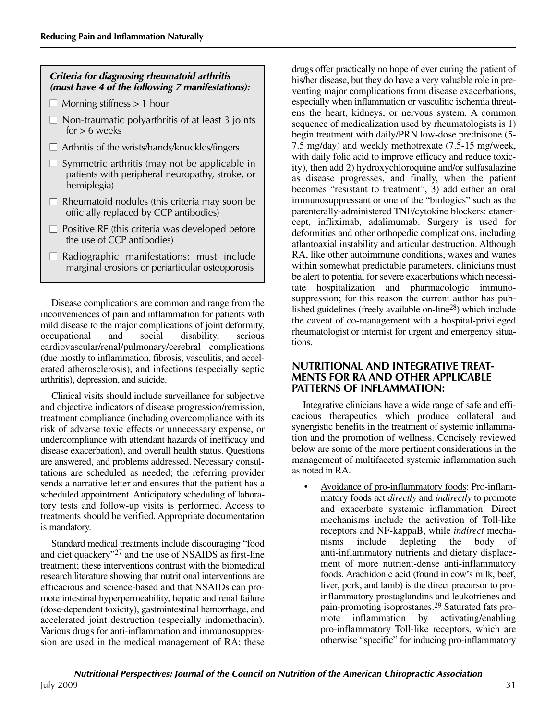# **Criteria for diagnosing rheumatoid arthritis (must have 4 of the following 7 manifestations): ■** Morning stiffness > 1 hour **■** Non-traumatic polyarthritis of at least 3 joints  $for > 6$  weeks □ Arthritis of the wrists/hands/knuckles/fingers □ Symmetric arthritis (may not be applicable in patients with peripheral neuropathy, stroke, or hemiplegia) □ Rheumatoid nodules (this criteria may soon be officially replaced by CCP antibodies) □ Positive RF (this criteria was developed before the use of CCP antibodies) □ Radiographic manifestations: must include marginal erosions or periarticular osteoporosis

Disease complications are common and range from the inconveniences of pain and inflammation for patients with mild disease to the major complications of joint deformity, occupational and social disability, serious cardiovascular/renal/pulmonary/cerebral complications (due mostly to inflammation, fibrosis, vasculitis, and accelerated atherosclerosis), and infections (especially septic arthritis), depression, and suicide.

Clinical visits should include surveillance for subjective and objective indicators of disease progression/remission, treatment compliance (including overcompliance with its risk of adverse toxic effects or unnecessary expense, or undercompliance with attendant hazards of inefficacy and disease exacerbation), and overall health status. Questions are answered, and problems addressed. Necessary consultations are scheduled as needed; the referring provider sends a narrative letter and ensures that the patient has a scheduled appointment. Anticipatory scheduling of laboratory tests and follow-up visits is performed. Access to treatments should be verified. Appropriate documentation is mandatory.

Standard medical treatments include discouraging "food and diet quackery"27 and the use of NSAIDS as first-line treatment; these interventions contrast with the biomedical research literature showing that nutritional interventions are efficacious and science-based and that NSAIDs can promote intestinal hyperpermeability, hepatic and renal failure (dose-dependent toxicity), gastrointestinal hemorrhage, and accelerated joint destruction (especially indomethacin). Various drugs for anti-inflammation and immunosuppression are used in the medical management of RA; these

drugs offer practically no hope of ever curing the patient of his/her disease, but they do have a very valuable role in preventing major complications from disease exacerbations, especially when inflammation or vasculitic ischemia threatens the heart, kidneys, or nervous system. A common sequence of medicalization used by rheumatologists is 1) begin treatment with daily/PRN low-dose prednisone (5- 7.5 mg/day) and weekly methotrexate (7.5-15 mg/week, with daily folic acid to improve efficacy and reduce toxicity), then add 2) hydroxychloroquine and/or sulfasalazine as disease progresses, and finally, when the patient becomes "resistant to treatment", 3) add either an oral immunosuppressant or one of the "biologics" such as the parenterally-administered TNF/cytokine blockers: etanercept, infliximab, adalimumab. Surgery is used for deformities and other orthopedic complications, including atlantoaxial instability and articular destruction. Although RA, like other autoimmune conditions, waxes and wanes within somewhat predictable parameters, clinicians must be alert to potential for severe exacerbations which necessitate hospitalization and pharmacologic immunosuppression; for this reason the current author has published guidelines (freely available on-line28) which include the caveat of co-management with a hospital-privileged rheumatologist or internist for urgent and emergency situations.

## **NUTRITIONAL AND INTEGRATIVE TREAT-MENTS FOR RA AND OTHER APPLICABLE PATTERNS OF INFLAMMATION:**

Integrative clinicians have a wide range of safe and efficacious therapeutics which produce collateral and synergistic benefits in the treatment of systemic inflammation and the promotion of wellness. Concisely reviewed below are some of the more pertinent considerations in the management of multifaceted systemic inflammation such as noted in RA.

• Avoidance of pro-inflammatory foods: Pro-inflammatory foods act *directly* and *indirectly* to promote and exacerbate systemic inflammation. Direct mechanisms include the activation of Toll-like receptors and NF-kappaB, while *indirect* mechanisms include depleting the body of anti-inflammatory nutrients and dietary displacement of more nutrient-dense anti-inflammatory foods. Arachidonic acid (found in cow's milk, beef, liver, pork, and lamb) is the direct precursor to proinflammatory prostaglandins and leukotrienes and pain-promoting isoprostanes.29 Saturated fats promote inflammation by activating/enabling pro-inflammatory Toll-like receptors, which are otherwise "specific" for inducing pro-inflammatory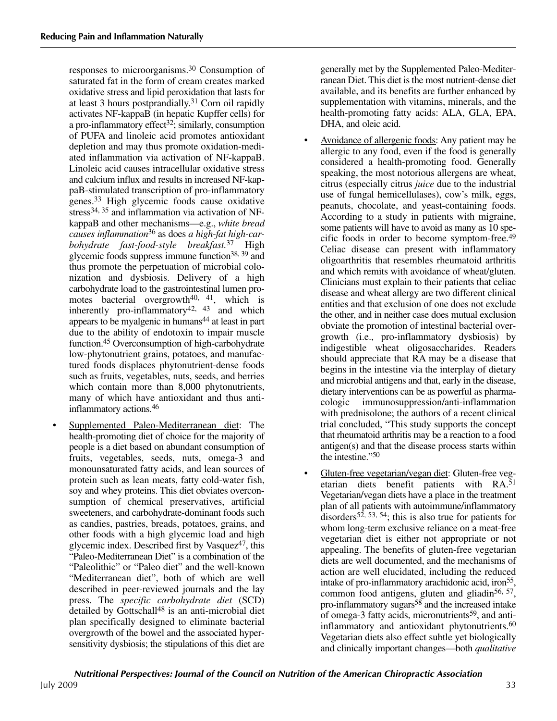responses to microorganisms.30 Consumption of saturated fat in the form of cream creates marked oxidative stress and lipid peroxidation that lasts for at least 3 hours postprandially. <sup>31</sup> Corn oil rapidly activates NF-kappaB (in hepatic Kupffer cells) for a pro-inflammatory effect<sup>32</sup>; similarly, consumption of PUFA and linoleic acid promotes antioxidant depletion and may thus promote oxidation-mediated inflammation via activation of NF-kappaB. Linoleic acid causes intracellular oxidative stress and calcium influx and results in increased NF-kappaB-stimulated transcription of pro-inflammatory genes.33 High glycemic foods cause oxidative stress<sup>34, 35</sup> and inflammation via activation of NFkappaB and other mechanisms—e.g., *white bread causes inflammation*<sup>36</sup> as does *a high-fat high-carbohydrate fast-food-style breakfast.*<sup>37</sup> High glycemic foods suppress immune function38, 39 and thus promote the perpetuation of microbial colonization and dysbiosis. Delivery of a high carbohydrate load to the gastrointestinal lumen promotes bacterial overgrowth<sup>40, 41</sup>, which is inherently pro-inflammatory<sup>42, 43</sup> and which appears to be myalgenic in humans44 at least in part due to the ability of endotoxin to impair muscle function.45 Overconsumption of high-carbohydrate low-phytonutrient grains, potatoes, and manufactured foods displaces phytonutrient-dense foods such as fruits, vegetables, nuts, seeds, and berries which contain more than 8,000 phytonutrients, many of which have antioxidant and thus antiinflammatory actions.46

Supplemented Paleo-Mediterranean diet: The health-promoting diet of choice for the majority of people is a diet based on abundant consumption of fruits, vegetables, seeds, nuts, omega-3 and monounsaturated fatty acids, and lean sources of protein such as lean meats, fatty cold-water fish, soy and whey proteins. This diet obviates overconsumption of chemical preservatives, artificial sweeteners, and carbohydrate-dominant foods such as candies, pastries, breads, potatoes, grains, and other foods with a high glycemic load and high glycemic index. Described first by Vasque $z^{47}$ , this "Paleo-Mediterranean Diet" is a combination of the "Paleolithic" or "Paleo diet" and the well-known "Mediterranean diet", both of which are well described in peer-reviewed journals and the lay press. The *specific carbohydrate diet* (SCD) detailed by Gottschall<sup>48</sup> is an anti-microbial diet plan specifically designed to eliminate bacterial overgrowth of the bowel and the associated hypersensitivity dysbiosis; the stipulations of this diet are

generally met by the Supplemented Paleo-Mediterranean Diet. This diet is the most nutrient-dense diet available, and its benefits are further enhanced by supplementation with vitamins, minerals, and the health-promoting fatty acids: ALA, GLA, EPA, DHA, and oleic acid.

- Avoidance of allergenic foods: Any patient may be allergic to any food, even if the food is generally considered a health-promoting food. Generally speaking, the most notorious allergens are wheat, citrus (especially citrus *juice* due to the industrial use of fungal hemicellulases), cow's milk, eggs, peanuts, chocolate, and yeast-containing foods. According to a study in patients with migraine, some patients will have to avoid as many as 10 specific foods in order to become symptom-free.49 Celiac disease can present with inflammatory oligoarthritis that resembles rheumatoid arthritis and which remits with avoidance of wheat/gluten. Clinicians must explain to their patients that celiac disease and wheat allergy are two different clinical entities and that exclusion of one does not exclude the other, and in neither case does mutual exclusion obviate the promotion of intestinal bacterial overgrowth (i.e., pro-inflammatory dysbiosis) by indigestible wheat oligosaccharides. Readers should appreciate that RA may be a disease that begins in the intestine via the interplay of dietary and microbial antigens and that, early in the disease, dietary interventions can be as powerful as pharmacologic immunosuppression/anti-inflammation with prednisolone; the authors of a recent clinical trial concluded, "This study supports the concept that rheumatoid arthritis may be a reaction to a food antigen(s) and that the disease process starts within the intestine."50
- Gluten-free vegetarian/vegan diet: Gluten-free vegetarian diets benefit patients with RA.51 Vegetarian/vegan diets have a place in the treatment plan of all patients with autoimmune/inflammatory disorders<sup>52, 53, 54</sup>; this is also true for patients for whom long-term exclusive reliance on a meat-free vegetarian diet is either not appropriate or not appealing. The benefits of gluten-free vegetarian diets are well documented, and the mechanisms of action are well elucidated, including the reduced intake of pro-inflammatory arachidonic acid, iron<sup>55</sup>, common food antigens, gluten and gliadin<sup>56, 57</sup>, pro-inflammatory sugars $58$  and the increased intake of omega-3 fatty acids, micronutrients<sup>59</sup>, and antiinflammatory and antioxidant phytonutrients.<sup>60</sup> Vegetarian diets also effect subtle yet biologically and clinically important changes—both *qualitative*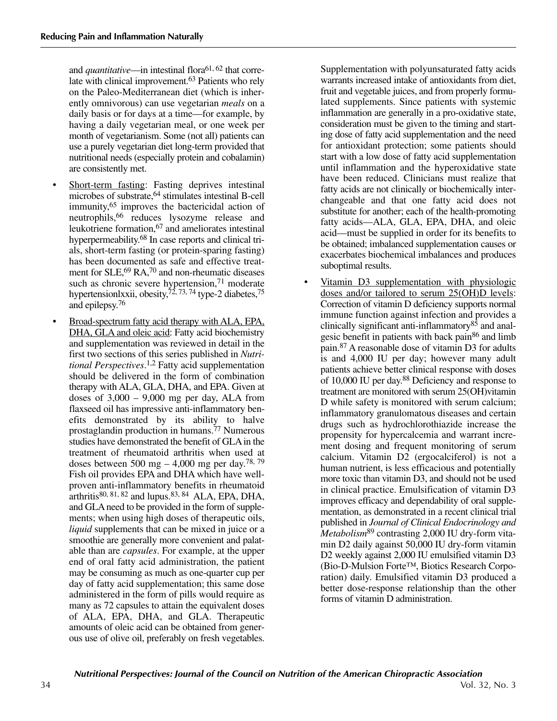and *quantitative*—in intestinal flora<sup>61, 62</sup> that correlate with clinical improvement.63 Patients who rely on the Paleo-Mediterranean diet (which is inherently omnivorous) can use vegetarian *meals* on a daily basis or for days at a time—for example, by having a daily vegetarian meal, or one week per month of vegetarianism. Some (not all) patients can use a purely vegetarian diet long-term provided that nutritional needs (especially protein and cobalamin) are consistently met.

- Short-term fasting: Fasting deprives intestinal microbes of substrate, <sup>64</sup> stimulates intestinal B-cell immunity, <sup>65</sup> improves the bactericidal action of neutrophils,66 reduces lysozyme release and leukotriene formation,67 and ameliorates intestinal hyperpermeability.<sup>68</sup> In case reports and clinical trials, short-term fasting (or protein-sparing fasting) has been documented as safe and effective treatment for SLE,<sup>69</sup> RA,<sup>70</sup> and non-rheumatic diseases such as chronic severe hypertension,<sup>71</sup> moderate hypertensionlxxii, obesity,<sup>72, 73, 74</sup> type-2 diabetes,<sup>75</sup> and epilepsy. 76
- Broad-spectrum fatty acid therapy with ALA, EPA, DHA, GLA and oleic acid: Fatty acid biochemistry and supplementation was reviewed in detail in the first two sections of this series published in *Nutritional Perspectives*. 1,2 Fatty acid supplementation should be delivered in the form of combination therapy with ALA, GLA, DHA, and EPA. Given at doses of  $3,000 - 9,000$  mg per day, ALA from flaxseed oil has impressive anti-inflammatory benefits demonstrated by its ability to halve prostaglandin production in humans.77 Numerous studies have demonstrated the benefit of GLAin the treatment of rheumatoid arthritis when used at doses between  $500 \text{ mg} - 4,000 \text{ mg}$  per day.<sup>78, 79</sup> Fish oil provides EPA and DHA which have wellproven anti-inflammatory benefits in rheumatoid arthritis $80$ ,  $81$ ,  $82$  and lupus.  $83$ ,  $84$  ALA, EPA, DHA, and GLA need to be provided in the form of supplements; when using high doses of therapeutic oils, *liquid* supplements that can be mixed in juice or a smoothie are generally more convenient and palatable than are *capsules*. For example, at the upper end of oral fatty acid administration, the patient may be consuming as much as one-quarter cup per day of fatty acid supplementation; this same dose administered in the form of pills would require as many as 72 capsules to attain the equivalent doses of ALA, EPA, DHA, and GLA. Therapeutic amounts of oleic acid can be obtained from generous use of olive oil, preferably on fresh vegetables.

Supplementation with polyunsaturated fatty acids warrants increased intake of antioxidants from diet, fruit and vegetable juices, and from properly formulated supplements. Since patients with systemic inflammation are generally in a pro-oxidative state, consideration must be given to the timing and starting dose of fatty acid supplementation and the need for antioxidant protection; some patients should start with a low dose of fatty acid supplementation until inflammation and the hyperoxidative state have been reduced. Clinicians must realize that fatty acids are not clinically or biochemically interchangeable and that one fatty acid does not substitute for another; each of the health-promoting fatty acids—ALA, GLA, EPA, DHA, and oleic acid—must be supplied in order for its benefits to be obtained; imbalanced supplementation causes or exacerbates biochemical imbalances and produces suboptimal results.

Vitamin D3 supplementation with physiologic doses and/or tailored to serum 25(OH)D levels: Correction of vitamin D deficiency supports normal immune function against infection and provides a clinically significant anti-inflammatory $8\overline{5}$  and analgesic benefit in patients with back pain86 and limb pain.87 A reasonable dose of vitamin D3 for adults is and 4,000 IU per day; however many adult patients achieve better clinical response with doses of 10,000 IU per day. <sup>88</sup> Deficiency and response to treatment are monitored with serum 25(OH)vitamin D while safety is monitored with serum calcium; inflammatory granulomatous diseases and certain drugs such as hydrochlorothiazide increase the propensity for hypercalcemia and warrant increment dosing and frequent monitoring of serum calcium. Vitamin D2 (ergocalciferol) is not a human nutrient, is less efficacious and potentially more toxic than vitamin D3, and should not be used in clinical practice. Emulsification of vitamin D3 improves efficacy and dependability of oral supplementation, as demonstrated in a recent clinical trial published in *Journal of Clinical Endocrinology and Metabolism*<sup>89</sup> contrasting 2,000 IU dry-form vitamin D2 daily against 50,000 IU dry-form vitamin D2 weekly against 2,000 IU emulsified vitamin D3 (Bio-D-Mulsion Forte™, Biotics Research Corporation) daily. Emulsified vitamin D3 produced a better dose-response relationship than the other forms of vitamin D administration.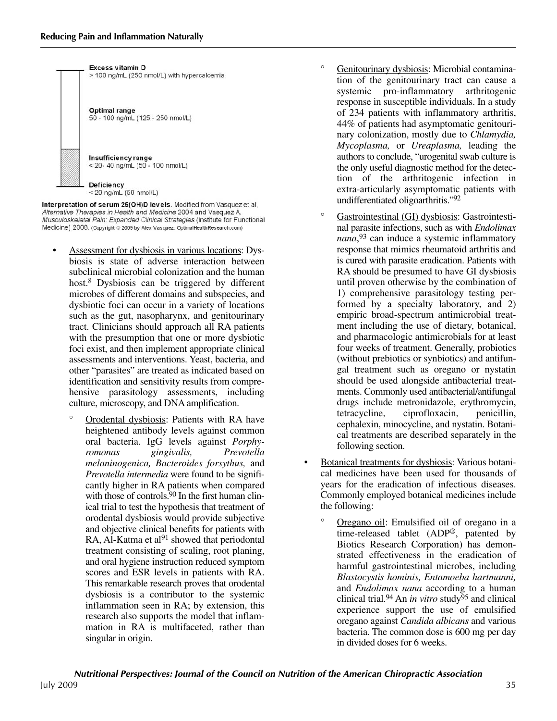

Interpretation of serum 25(OH)D levels. Modified from Vasquez et al, Alternative Therapies in Health and Medicine 2004 and Vasquez A. Musculoskeletal Pain: Expanded Clinical Strategies (Institute for Functional Medicine) 2008. (Copyright @ 2009 by Alex Vasquez. OptimalHealthResearch.com)

- Assessment for dysbiosis in various locations: Dysbiosis is state of adverse interaction between subclinical microbial colonization and the human host.8 Dysbiosis can be triggered by different microbes of different domains and subspecies, and dysbiotic foci can occur in a variety of locations such as the gut, nasopharynx, and genitourinary tract. Clinicians should approach all RA patients with the presumption that one or more dysbiotic foci exist, and then implement appropriate clinical assessments and interventions. Yeast, bacteria, and other "parasites" are treated as indicated based on identification and sensitivity results from comprehensive parasitology assessments, including culture, microscopy, and DNA amplification.
	- ° Orodental dysbiosis: Patients with RA have heightened antibody levels against common oral bacteria. IgG levels against *Porphyromonas gingivalis, Prevotella melaninogenica, Bacteroides forsythus,* and *Prevotella intermedia* were found to be significantly higher in RA patients when compared with those of controls. $90$  In the first human clinical trial to test the hypothesis that treatment of orodental dysbiosis would provide subjective and objective clinical benefits for patients with RA, Al-Katma et al<sup>91</sup> showed that periodontal treatment consisting of scaling, root planing, and oral hygiene instruction reduced symptom scores and ESR levels in patients with RA. This remarkable research proves that orodental dysbiosis is a contributor to the systemic inflammation seen in RA; by extension, this research also supports the model that inflammation in RA is multifaceted, rather than singular in origin.
- Genitourinary dysbiosis: Microbial contamination of the genitourinary tract can cause a systemic pro-inflammatory arthritogenic response in susceptible individuals. In a study of 234 patients with inflammatory arthritis, 44% of patients had asymptomatic genitourinary colonization, mostly due to *Chlamydia, Mycoplasma,* or *Ureaplasma,* leading the authors to conclude, "urogenital swab culture is the only useful diagnostic method for the detection of the arthritogenic infection in extra-articularly asymptomatic patients with undifferentiated oligoarthritis."92
- ° Gastrointestinal (GI) dysbiosis: Gastrointestinal parasite infections, such as with *Endolimax nana*, <sup>93</sup> can induce a systemic inflammatory response that mimics rheumatoid arthritis and is cured with parasite eradication. Patients with RA should be presumed to have GI dysbiosis until proven otherwise by the combination of 1) comprehensive parasitology testing performed by a specialty laboratory, and 2) empiric broad-spectrum antimicrobial treatment including the use of dietary, botanical, and pharmacologic antimicrobials for at least four weeks of treatment. Generally, probiotics (without prebiotics or synbiotics) and antifungal treatment such as oregano or nystatin should be used alongside antibacterial treatments. Commonly used antibacterial/antifungal drugs include metronidazole, erythromycin, tetracycline, ciprofloxacin, penicillin, cephalexin, minocycline, and nystatin. Botanical treatments are described separately in the following section.
- Botanical treatments for dysbiosis: Various botanical medicines have been used for thousands of years for the eradication of infectious diseases. Commonly employed botanical medicines include the following:
	- ° Oregano oil: Emulsified oil of oregano in a time-released tablet (ADP®, patented by Biotics Research Corporation) has demonstrated effectiveness in the eradication of harmful gastrointestinal microbes, including *Blastocystis hominis, Entamoeba hartmanni,* and *Endolimax nana* according to a human clinical trial.<sup>94</sup> An *in vitro* study<sup> $\bar{9}5$ </sup> and clinical experience support the use of emulsified oregano against *Candida albicans* and various bacteria. The common dose is 600 mg per day in divided doses for 6 weeks.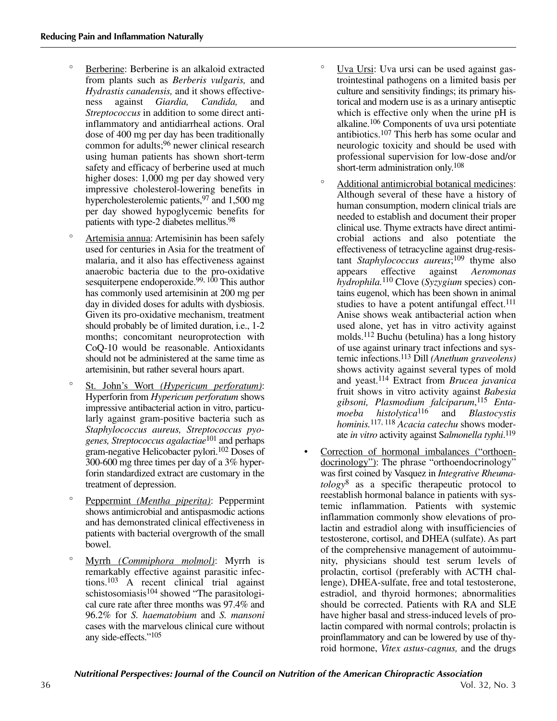- Berberine: Berberine is an alkaloid extracted from plants such as *Berberis vulgaris,* and *Hydrastis canadensis,* and it shows effectiveness against *Giardia, Candida,* and *Streptococcus* in addition to some direct antiinflammatory and antidiarrheal actions. Oral dose of 400 mg per day has been traditionally common for adults;96 newer clinical research using human patients has shown short-term safety and efficacy of berberine used at much higher doses: 1,000 mg per day showed very impressive cholesterol-lowering benefits in hypercholesterolemic patients,<sup>97</sup> and 1,500 mg per day showed hypoglycemic benefits for patients with type-2 diabetes mellitus.98
- ° Artemisia annua: Artemisinin has been safely used for centuries in Asia for the treatment of malaria, and it also has effectiveness against anaerobic bacteria due to the pro-oxidative sesquiterpene endoperoxide.<sup>99, 100</sup> This author has commonly used artemisinin at 200 mg per day in divided doses for adults with dysbiosis. Given its pro-oxidative mechanism, treatment should probably be of limited duration, i.e., 1-2 months; concomitant neuroprotection with CoQ-10 would be reasonable. Antioxidants should not be administered at the same time as artemisinin, but rather several hours apart.
- St. John's Wort *(Hypericum perforatum)*: Hyperforin from *Hypericum perforatum* shows impressive antibacterial action in vitro, particularly against gram-positive bacteria such as *Staphylococcus aureus, Streptococcus pyogenes, Streptococcus agalactiae*<sup>101</sup> and perhaps gram-negative Helicobacter pylori.102 Doses of 300-600 mg three times per day of a 3% hyperforin standardized extract are customary in the treatment of depression.
- ° Peppermint *(Mentha piperita)*: Peppermint shows antimicrobial and antispasmodic actions and has demonstrated clinical effectiveness in patients with bacterial overgrowth of the small bowel.
- ° Myrrh *(Commiphora molmol)*: Myrrh is remarkably effective against parasitic infections.103 A recent clinical trial against schistosomiasis<sup>104</sup> showed "The parasitological cure rate after three months was 97.4% and 96.2% for *S. haematobium* and *S. mansoni* cases with the marvelous clinical cure without any side-effects."105
- Uva Ursi: Uva ursi can be used against gastrointestinal pathogens on a limited basis per culture and sensitivity findings; its primary historical and modern use is as a urinary antiseptic which is effective only when the urine pH is alkaline.106 Components of uva ursi potentiate antibiotics.107 This herb has some ocular and neurologic toxicity and should be used with professional supervision for low-dose and/or short-term administration only. 108
- Additional antimicrobial botanical medicines: Although several of these have a history of human consumption, modern clinical trials are needed to establish and document their proper clinical use. Thyme extracts have direct antimicrobial actions and also potentiate the effectiveness of tetracycline against drug-resistant *Staphylococcus aureus*; <sup>109</sup> thyme also appears effective against *Aeromonas hydrophila.*<sup>110</sup> Clove (*Syzygium* species) contains eugenol, which has been shown in animal studies to have a potent antifungal effect.<sup>111</sup> Anise shows weak antibacterial action when used alone, yet has in vitro activity against molds.112 Buchu (betulina) has a long history of use against urinary tract infections and systemic infections.113 Dill *(Anethum graveolens)* shows activity against several types of mold and yeast.114 Extract from *Brucea javanica* fruit shows in vitro activity against *Babesia gibsoni, Plasmodium falciparum*, <sup>115</sup> *Entamoeba histolytica*<sup>116</sup> and *Blastocystis hominis.*117, 118 *Acacia catechu* shows moderate *in vitro* activity against S*almonella typhi*. 119
- Correction of hormonal imbalances ("orthoendocrinology"): The phrase "orthoendocrinology" was first coined by Vasquez in *Integrative Rheumatology*<sup>8</sup> as a specific therapeutic protocol to reestablish hormonal balance in patients with systemic inflammation. Patients with systemic inflammation commonly show elevations of prolactin and estradiol along with insufficiencies of testosterone, cortisol, and DHEA (sulfate). As part of the comprehensive management of autoimmunity, physicians should test serum levels of prolactin, cortisol (preferably with ACTH challenge), DHEA-sulfate, free and total testosterone, estradiol, and thyroid hormones; abnormalities should be corrected. Patients with RA and SLE have higher basal and stress-induced levels of prolactin compared with normal controls; prolactin is proinflammatory and can be lowered by use of thyroid hormone, *Vitex astus-cagnus,* and the drugs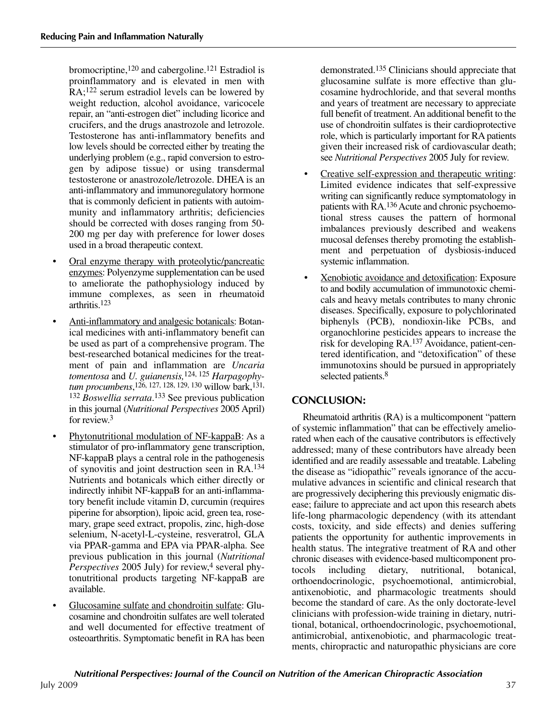bromocriptine,<sup>120</sup> and cabergoline.<sup>121</sup> Estradiol is proinflammatory and is elevated in men with RA;122 serum estradiol levels can be lowered by weight reduction, alcohol avoidance, varicocele repair, an "anti-estrogen diet" including licorice and crucifers, and the drugs anastrozole and letrozole. Testosterone has anti-inflammatory benefits and low levels should be corrected either by treating the underlying problem (e.g., rapid conversion to estrogen by adipose tissue) or using transdermal testosterone or anastrozole/letrozole. DHEA is an anti-inflammatory and immunoregulatory hormone that is commonly deficient in patients with autoimmunity and inflammatory arthritis; deficiencies should be corrected with doses ranging from 50- 200 mg per day with preference for lower doses used in a broad therapeutic context.

- Oral enzyme therapy with proteolytic/pancreatic enzymes: Polyenzyme supplementation can be used to ameliorate the pathophysiology induced by immune complexes, as seen in rheumatoid arthritis.123
- Anti-inflammatory and analgesic botanicals: Botanical medicines with anti-inflammatory benefit can be used as part of a comprehensive program. The best-researched botanical medicines for the treatment of pain and inflammation are *Uncaria tomentosa* and *U. guianensis,*124, 125 *Harpagophytum procumbens*, 126, 127, 128, 129, 130 willow bark,131, <sup>132</sup> *Boswellia serrata*. <sup>133</sup> See previous publication in this journal (*Nutritional Perspectives* 2005 April) for review. 3
- Phytonutritional modulation of NF-kappaB: As a stimulator of pro-inflammatory gene transcription, NF-kappaB plays a central role in the pathogenesis of synovitis and joint destruction seen in RA.134 Nutrients and botanicals which either directly or indirectly inhibit NF-kappaB for an anti-inflammatory benefit include vitamin D, curcumin (requires piperine for absorption), lipoic acid, green tea, rosemary, grape seed extract, propolis, zinc, high-dose selenium, N-acetyl-L-cysteine, resveratrol, GLA via PPAR-gamma and EPA via PPAR-alpha. See previous publication in this journal (*Nutritional Perspectives* 2005 July) for review, <sup>4</sup> several phytonutritional products targeting NF-kappaB are available.
- Glucosamine sulfate and chondroitin sulfate: Glucosamine and chondroitin sulfates are well tolerated and well documented for effective treatment of osteoarthritis. Symptomatic benefit in RA has been

demonstrated.135 Clinicians should appreciate that glucosamine sulfate is more effective than glucosamine hydrochloride, and that several months and years of treatment are necessary to appreciate full benefit of treatment. An additional benefit to the use of chondroitin sulfates is their cardioprotective role, which is particularly important for RA patients given their increased risk of cardiovascular death; see *Nutritional Perspectives* 2005 July for review.

- Creative self-expression and therapeutic writing: Limited evidence indicates that self-expressive writing can significantly reduce symptomatology in patients with RA.<sup>136</sup> Acute and chronic psychoemotional stress causes the pattern of hormonal imbalances previously described and weakens mucosal defenses thereby promoting the establishment and perpetuation of dysbiosis-induced systemic inflammation.
- Xenobiotic avoidance and detoxification: Exposure to and bodily accumulation of immunotoxic chemicals and heavy metals contributes to many chronic diseases. Specifically, exposure to polychlorinated biphenyls (PCB), nondioxin-like PCBs, and organochlorine pesticides appears to increase the risk for developing RA.137 Avoidance, patient-centered identification, and "detoxification" of these immunotoxins should be pursued in appropriately selected patients.<sup>8</sup>

# **CONCLUSION:**

Rheumatoid arthritis (RA) is a multicomponent "pattern of systemic inflammation" that can be effectively ameliorated when each of the causative contributors is effectively addressed; many of these contributors have already been identified and are readily assessable and treatable. Labeling the disease as "idiopathic" reveals ignorance of the accumulative advances in scientific and clinical research that are progressively deciphering this previously enigmatic disease; failure to appreciate and act upon this research abets life-long pharmacologic dependency (with its attendant costs, toxicity, and side effects) and denies suffering patients the opportunity for authentic improvements in health status. The integrative treatment of RA and other chronic diseases with evidence-based multicomponent protocols including dietary, nutritional, botanical, orthoendocrinologic, psychoemotional, antimicrobial, antixenobiotic, and pharmacologic treatments should become the standard of care. As the only doctorate-level clinicians with profession-wide training in dietary, nutritional, botanical, orthoendocrinologic, psychoemotional, antimicrobial, antixenobiotic, and pharmacologic treatments, chiropractic and naturopathic physicians are core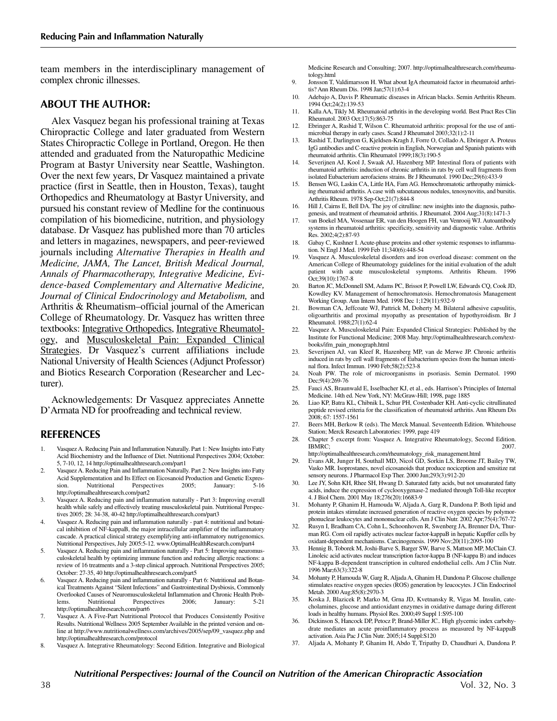team members in the interdisciplinary management of complex chronic illnesses.

#### **ABOUT THE AUTHOR:**

Alex Vasquez began his professional training at Texas Chiropractic College and later graduated from Western States Chiropractic College in Portland, Oregon. He then attended and graduated from the Naturopathic Medicine Program at Bastyr University near Seattle, Washington. Over the next few years, Dr Vasquez maintained a private practice (first in Seattle, then in Houston, Texas), taught Orthopedics and Rheumatology at Bastyr University, and pursued his constant review of Medline for the continuous compilation of his biomedicine, nutrition, and physiology database. Dr Vasquez has published more than 70 articles and letters in magazines, newspapers, and peer-reviewed journals including *Alternative Therapies in Health and Medicine, JAMA, The Lancet, British Medical Journal, Annals of Pharmacotherapy, Integrative Medicine, Evidence-based Complementary and Alternative Medicine, Journal of Clinical Endocrinology and Metabolism,* and Arthritis & Rheumatism–official journal of the American College of Rheumatology. Dr. Vasquez has written three textbooks: Integrative Orthopedics, Integrative Rheumatology, and Musculoskeletal Pain: Expanded Clinical Strategies. Dr Vasquez's current affiliations include National University of Health Sciences (Adjunct Professor) and Biotics Research Corporation (Researcher and Lecturer).

Acknowledgements: Dr Vasquez appreciates Annette D'Armata ND for proofreading and technical review.

### **REFERENCES**

- 1. Vasquez A. Reducing Pain and Inflammation Naturally. Part 1: New Insights into Fatty Acid Biochemistry and the Influence of Diet. Nutritional Perspectives 2004; October: 5, 7-10, 12, 14 http://optimalhealthresearch.com/part1
- 2. Vasquez A. Reducing Pain and Inflammation Naturally. Part 2: New Insights into Fatty Acid Supplementation and Its Effect on Eicosanoid Production and Genetic Expres-<br>sion. Nutritional Perspectives 2005: January: 5-16 sion. Nutritional Perspectives http://optimalhealthresearch.com/part2
- 3. Vasquez A. Reducing pain and inflammation naturally Part 3: Improving overall health while safely and effectively treating musculoskeletal pain. Nutritional Perspectives 2005; 28: 34-38, 40-42 http://optimalhealthresearch.com/part3
- 4. Vasquez A. Reducing pain and inflammation naturally part 4: nutritional and botanical inhibition of NF-kappaB, the major intracellular amplifier of the inflammatory cascade. A practical clinical strategy exemplifying anti-inflammatory nutrigenomics. Nutritional Perspectives, July 2005:5-12. www.OptimalHealthResearch.com/part4
- 5. Vasquez A. Reducing pain and inflammation naturally Part 5: Improving neuromusculoskeletal health by optimizing immune function and reducing allergic reactions: a review of 16 treatments and a 3-step clinical approach. Nutritional Perspectives 2005; October: 27-35, 40 http://optimalhealthresearch.com/part5
- 6. Vasquez A. Reducing pain and inflammation naturally Part 6: Nutritional and Botanical Treatments Against "Silent Infections" and Gastrointestinal Dysbiosis, Commonly Overlooked Causes of Neuromusculoskeletal Inflammation and Chronic Health Problems. Nutritional Perspectives 2006; January: 5-21 http://optimalhealthresearch.com/part6
- 7. Vasquez A. A Five-Part Nutritional Protocol that Produces Consistently Positive Results. Nutritional Wellness 2005 September Available in the printed version and online at http://www.nutritionalwellness.com/archives/2005/sep/09\_vasquez.php and http://optimalhealthresearch.com/protocol
- 8. Vasquez A. Integrative Rheumatology: Second Edition. Integrative and Biological

Medicine Research and Consulting; 2007. http://optimalhealthresearch.com/rheumatology.html

- 9. Jonsson T, Valdimarsson H. What about IgA rheumatoid factor in rheumatoid arthritis? Ann Rheum Dis. 1998 Jan;57(1):63-4
- 10. Adebajo A, Davis P. Rheumatic diseases in African blacks. Semin Arthritis Rheum. 1994 Oct;24(2):139-53
- 11. Kalla AA, Tikly M. Rheumatoid arthritis in the developing world. Best Pract Res Clin Rheumatol. 2003 Oct;17(5):863-75
- 12. Ebringer A, Rashid T, Wilson C. Rheumatoid arthritis: proposal for the use of antimicrobial therapy in early cases. Scand J Rheumatol 2003;32(1):2-11
- 13. Rashid T, Darlington G, Kjeldsen-Kragh J, Forre O, Collado A, Ebringer A. Proteus IgG antibodies and C-reactive protein in English, Norwegian and Spanish patients with rheumatoid arthritis. Clin Rheumatol 1999;18(3):190-5
- 14. Severijnen AJ, Kool J, Swaak AJ, Hazenberg MP. Intestinal flora of patients with rheumatoid arthritis: induction of chronic arthritis in rats by cell wall fragments from isolated Eubacterium aerofaciens strains. Br J Rheumatol. 1990 Dec;29(6):433-9
- 15. Bensen WG, Laskin CA, Little HA, Fam AG. Hemochromatotic arthropathy mimicking rheumatoid arthritis. A case with subcutaneous nodules, tenosynovitis, and bursitis. Arthritis Rheum. 1978 Sep-Oct;21(7):844-8
- Hill J, Cairns E, Bell DA. The joy of citrulline: new insights into the diagnosis, pathogenesis, and treatment of rheumatoid arthritis. J Rheumatol. 2004 Aug;31(8):1471-3
- 17. van Boekel MA, Vossenaar ER, van den Hoogen FH, van Venrooij WJ. Autoantibody systems in rheumatoid arthritis: specificity, sensitivity and diagnostic value. Arthritis Res. 2002;4(2):87-93
- 18. Gabay C, Kushner I. Acute-phase proteins and other systemic responses to inflammation. N Engl J Med. 1999 Feb 11;340(6):448-54
- Vasquez A. Musculoskeletal disorders and iron overload disease: comment on the American College of Rheumatology guidelines for the initial evaluation of the adult patient with acute musculoskeletal symptoms. Arthritis Rheum. 1996 Oct;39(10):1767-8
- Barton JC, McDonnell SM, Adams PC, Brissot P, Powell LW, Edwards CQ, Cook JD, Kowdley KV. Management of hemochromatosis. Hemochromatosis Management Working Group. Ann Intern Med. 1998 Dec 1;129(11):932-9
- Bowman CA, Jeffcoate WJ, Pattrick M, Doherty M. Bilateral adhesive capsulitis, oligoarthritis and proximal myopathy as presentation of hypothyroidism. Br J Rheumatol. 1988;27(1):62-4
- 22. Vasquez A. Musculoskeletal Pain: Expanded Clinical Strategies: Published by the Institute for Functional Medicine; 2008 May. http://optimalhealthresearch.com/textbooks/ifm\_pain\_monograph.html
- 23. Severijnen AJ, van Kleef R, Hazenberg MP, van de Merwe JP. Chronic arthritis induced in rats by cell wall fragments of Eubacterium species from the human intestinal flora. Infect Immun. 1990 Feb;58(2):523-8
- 24. Noah PW. The role of microorganisms in psoriasis. Semin Dermatol. 1990 Dec;9(4):269-76
- 25. Fauci AS, Braunwald E, Isselbacher KJ, et al., eds. Harrison's Principles of Internal Medicine. 14th ed. New York, NY: McGraw-Hill; 1998, page 1885
- 26. Liao KP, Batra KL, Chibnik L, Schur PH, Costenbader KH. Anti-cyclic citrullinated peptide revised criteria for the classification of rheumatoid arthritis. Ann Rheum Dis 2008; 67: 1557-1561
- 27. Beers MH, Berkow R (eds). The Merck Manual. Seventeenth Edition. Whitehouse Station; Merck Research Laboratories: 1999, page 419
- 28. Chapter 5 excerpt from: Vasquez A. Integrative Rheumatology, Second Edition.  $IBMRC$ ; 2007.
- http://optimalhealthresearch.com/rheumatology\_risk\_management.html 29. Evans AR, Junger H, Southall MD, Nicol GD, Sorkin LS, Broome JT, Bailey TW, Vasko MR. Isoprostanes, novel eicosanoids that produce nociception and sensitize rat sensory neurons. J Pharmacol Exp Ther. 2000 Jun;293(3):912-20
- 30. Lee JY, Sohn KH, Rhee SH, Hwang D. Saturated fatty acids, but not unsaturated fatty acids, induce the expression of cyclooxygenase-2 mediated through Toll-like receptor 4. J Biol Chem. 2001 May 18;276(20):16683-9
- 31. Mohanty P, Ghanim H, Hamouda W, Aljada A, Garg R, Dandona P. Both lipid and protein intakes stimulate increased generation of reactive oxygen species by polymorphonuclear leukocytes and mononuclear cells. Am J Clin Nutr. 2002 Apr;75(4):767-72
- 32. Rusyn I, Bradham CA, Cohn L, Schoonhoven R, Swenberg JA, Brenner DA, Thurman RG. Corn oil rapidly activates nuclear factor-kappaB in hepatic Kupffer cells by oxidant-dependent mechanisms. Carcinogenesis. 1999 Nov;20(11):2095-100
- 33. Hennig B, Toborek M, Joshi-Barve S, Barger SW, Barve S, Mattson MP, McClain CJ. Linoleic acid activates nuclear transcription factor-kappa B (NF-kappa B) and induces NF-kappa B-dependent transcription in cultured endothelial cells. Am J Clin Nutr. 1996 Mar;63(3):322-8
- 34. Mohanty P, Hamouda W, Garg R, Aljada A, Ghanim H, Dandona P. Glucose challenge stimulates reactive oxygen species (ROS) generation by leucocytes. J Clin Endocrinol Metab. 2000 Aug;85(8):2970-3
- 35. Koska J, Blazicek P, Marko M, Grna JD, Kvetnansky R, Vigas M. Insulin, catecholamines, glucose and antioxidant enzymes in oxidative damage during different loads in healthy humans. Physiol Res. 2000;49 Suppl 1:S95-100
- 36. Dickinson S, Hancock DP, Petocz P, Brand-Miller JC.. High glycemic index carbohydrate mediates an acute proinflammatory process as measured by NF-kappaB activation. Asia Pac J Clin Nutr. 2005;14 Suppl:S120
- 37. Aljada A, Mohanty P, Ghanim H, Abdo T, Tripathy D, Chaudhuri A, Dandona P.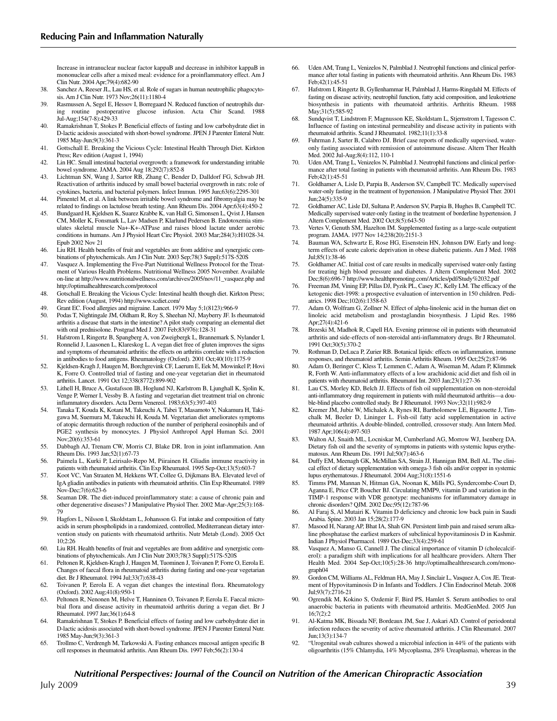Increase in intranuclear nuclear factor kappaB and decrease in inhibitor kappaB in mononuclear cells after a mixed meal: evidence for a proinflammatory effect. Am J Clin Nutr. 2004 Apr;79(4):682-90

- 38. Sanchez A, Reeser JL, Lau HS, et al. Role of sugars in human neutrophilic phagocytosis. Am J Clin Nutr. 1973 Nov;26(11):1180-4
- 39. Rasmussen A, Segel E, Hessov I, Borregaard N. Reduced function of neutrophils during routine postoperative glucose infusion. Acta Chir Scand. 1988 Jul-Aug;154(7-8):429-33
- 40. Ramakrishnan T, Stokes P. Beneficial effects of fasting and low carbohydrate diet in D-lactic acidosis associated with short-bowel syndrome. JPEN J Parenter Enteral Nutr. 1985 May-Jun;9(3):361-3
- 41. Gottschall E. Breaking the Vicious Cycle: Intestinal Health Through Diet. Kirkton Press; Rev edition (August 1, 1994)
- 42. Lin HC. Small intestinal bacterial overgrowth: a framework for understanding irritable bowel syndrome. JAMA. 2004 Aug 18;292(7):852-8
- 43. Lichtman SN, Wang J, Sartor RB, Zhang C, Bender D, Dalldorf FG, Schwab JH. Reactivation of arthritis induced by small bowel bacterial overgrowth in rats: role of cytokines, bacteria, and bacterial polymers. Infect Immun. 1995 Jun;63(6):2295-301
- 44. Pimentel M, et al. A link between irritable bowel syndrome and fibromyalgia may be related to findings on lactulose breath testing. Ann Rheum Dis. 2004 Apr;63(4):450-2
- 45. Bundgaard H, Kjeldsen K, Suarez Krabbe K, van Hall G, Simonsen L, Qvist J, Hansen CM, Moller K, Fonsmark L, Lav Madsen P, Klarlund Pedersen B. Endotoxemia stimulates skeletal muscle Na+-K+-ATPase and raises blood lactate under aerobic conditions in humans. Am J Physiol Heart Circ Physiol. 2003 Mar;284(3):H1028-34. Epub 2002 Nov 21
- 46. Liu RH. Health benefits of fruit and vegetables are from additive and synergistic combinations of phytochemicals. Am J Clin Nutr. 2003 Sep;78(3 Suppl):517S-520S
- 47. Vasquez A. Implementing the Five-Part Nutritional Wellness Protocol for the Treatment of Various Health Problems. Nutritional Wellness 2005 November. Available on-line at http://www.nutritionalwellness.com/archives/2005/nov/11\_vasquez.php and http://optimalhealthresearch.com/protocol
- 48. Gotschall E. Breaking the Vicious Cycle: Intestinal health though diet. Kirkton Press; Rev edition (August, 1994) http://www.scdiet.com/
- 49. Grant EC. Food allergies and migraine. Lancet. 1979 May 5;1(8123):966-9
- 50. Podas T, Nightingale JM, Oldham R, Roy S, Sheehan NJ, Mayberry JF. Is rheumatoid arthritis a disease that starts in the intestine? A pilot study comparing an elemental diet with oral prednisolone. Postgrad Med J. 2007 Feb;83(976):128-31
- 51. Hafstrom I, Ringertz B, Spangberg A, von Zweigbergk L, Brannemark S, Nylander I, Ronnelid J, Laasonen L, Klareskog L. A vegan diet free of gluten improves the signs and symptoms of rheumatoid arthritis: the effects on arthritis correlate with a reduction in antibodies to food antigens. Rheumatology (Oxford). 2001 Oct;40(10):1175-9
- 52. Kjeldsen-Kragh J, Haugen M, Borchgrevink CF, Laerum E, Eek M, Mowinkel P, Hovi K, Forre O. Controlled trial of fasting and one-year vegetarian diet in rheumatoid arthritis. Lancet. 1991 Oct 12;338(8772):899-902
- 53. Lithell H, Bruce A, Gustafsson IB, Hoglund NJ, Karlstrom B, Ljunghall K, Sjolin K, Venge P, Werner I, Vessby B. A fasting and vegetarian diet treatment trial on chronic inflammatory disorders. Acta Derm Venereol. 1983;63(5):397-403
- 54. Tanaka T, Kouda K, Kotani M, Takeuchi A, Tabei T, Masamoto Y, Nakamura H, Takigawa M, Suemura M, Takeuchi H, Kouda M. Vegetarian diet ameliorates symptoms of atopic dermatitis through reduction of the number of peripheral eosinophils and of PGE2 synthesis by monocytes. J Physiol Anthropol Appl Human Sci. 2001 Nov;20(6):353-61
- 55. Dabbagh AJ, Trenam CW, Morris CJ, Blake DR. Iron in joint inflammation. Ann Rheum Dis. 1993 Jan;52(1):67-73
- 56. Paimela L, Kurki P, Leirisalo-Repo M, Piirainen H. Gliadin immune reactivity in patients with rheumatoid arthritis. Clin Exp Rheumatol. 1995 Sep-Oct;13(5):603-7
- 57. Koot VC, Van Straaten M, Hekkens WT, Collee G, Dijkmans BA. Elevated level of IgA gliadin antibodies in patients with rheumatoid arthritis. Clin Exp Rheumatol. 1989 Nov-Dec;7(6):623-6
- 58. Seaman DR. The diet-induced proinflammatory state: a cause of chronic pain and other degenerative diseases? J Manipulative Physiol Ther. 2002 Mar-Apr;25(3):168- 79
- 59. Hagfors L, Nilsson I, Skoldstam L, Johansson G. Fat intake and composition of fatty acids in serum phospholipids in a randomized, controlled, Mediterranean dietary intervention study on patients with rheumatoid arthritis. Nutr Metab (Lond). 2005 Oct 10;2:26
- 60. Liu RH. Health benefits of fruit and vegetables are from additive and synergistic combinations of phytochemicals. Am J Clin Nutr 2003;78(3 Suppl):517S-520S
- 61. Peltonen R, Kjeldsen-Kragh J, Haugen M, Tuominen J, Toivanen P, Forre O, Eerola E. Changes of faecal flora in rheumatoid arthritis during fasting and one-year vegetarian diet. Br J Rheumatol. 1994 Jul;33(7):638-43
- 62. Toivanen P, Eerola E. A vegan diet changes the intestinal flora. Rheumatology (Oxford). 2002 Aug;41(8):950-1
- 63. Peltonen R, Nenonen M, Helve T, Hanninen O, Toivanen P, Eerola E. Faecal microbial flora and disease activity in rheumatoid arthritis during a vegan diet. Br J Rheumatol. 1997 Jan;36(1):64-8
- 64. Ramakrishnan T, Stokes P. Beneficial effects of fasting and low carbohydrate diet in D-lactic acidosis associated with short-bowel syndrome. JPEN J Parenter Enteral Nutr. 1985 May-Jun;9(3):361-3
- 65. Trollmo C, Verdrengh M, Tarkowski A. Fasting enhances mucosal antigen specific B cell responses in rheumatoid arthritis. Ann Rheum Dis. 1997 Feb;56(2):130-4
- 66. Uden AM, Trang L, Venizelos N, Palmblad J. Neutrophil functions and clinical performance after total fasting in patients with rheumatoid arthritis. Ann Rheum Dis. 1983 Feb;42(1):45-51
- 67. Hafstrom I, Ringertz B, Gyllenhammar H, Palmblad J, Harms-Ringdahl M. Effects of fasting on disease activity, neutrophil function, fatty acid composition, and leukotriene biosynthesis in patients with rheumatoid arthritis. Arthritis Rheum. 1988 May;31(5):585-92
- 68. Sundqvist T, Lindstrom F, Magnusson KE, Skoldstam L, Stjernstrom I, Tagesson C. Influence of fasting on intestinal permeability and disease activity in patients with rheumatoid arthritis. Scand J Rheumatol. 1982;11(1):33-8
- 69. Fuhrman J, Sarter B, Calabro DJ. Brief case reports of medically supervised, wateronly fasting associated with remission of autoimmune disease. Altern Ther Health Med. 2002 Jul-Aug;8(4):112, 110-1
- 70. Uden AM, Trang L, Venizelos N, Palmblad J. Neutrophil functions and clinical performance after total fasting in patients with rheumatoid arthritis. Ann Rheum Dis. 1983 Feb;42(1):45-51
- 71. Goldhamer A, Lisle D, Parpia B, Anderson SV, Campbell TC. Medically supervised water-only fasting in the treatment of hypertension. J Manipulative Physiol Ther. 2001 Jun;24(5):335-9
- 72. Goldhamer AC, Lisle DJ, Sultana P, Anderson SV, Parpia B, Hughes B, Campbell TC. Medically supervised water-only fasting in the treatment of borderline hypertension. J Altern Complement Med. 2002 Oct;8(5):643-50
- Vertes V, Genuth SM, Hazelton IM. Supplemented fasting as a large-scale outpatient program. JAMA. 1977 Nov 14;238(20):2151-3
- 74. Bauman WA, Schwartz E, Rose HG, Eisenstein HN, Johnson DW. Early and longterm effects of acute caloric deprivation in obese diabetic patients. Am J Med. 1988 Jul;85(1):38-46
- 75. Goldhamer AC. Initial cost of care results in medically supervised water-only fasting for treating high blood pressure and diabetes. J Altern Complement Med. 2002 Dec;8(6):696-7 http://www.healthpromoting.com/Articles/pdf/Study%2032.pdf
- Freeman JM, Vining EP, Pillas DJ, Pyzik PL, Casey JC, Kelly LM. The efficacy of the ketogenic diet-1998: a prospective evaluation of intervention in 150 children. Pediatrics. 1998 Dec;102(6):1358-63
- 77. Adam O, Wolfram G, Zollner N. Effect of alpha-linolenic acid in the human diet on linoleic acid metabolism and prostaglandin biosynthesis. J Lipid Res. 1986 Apr;27(4):421-6
- 78. Brzeski M, Madhok R, Capell HA. Evening primrose oil in patients with rheumatoid arthritis and side-effects of non-steroidal anti-inflammatory drugs. Br J Rheumatol. 1991 Oct;30(5):370-2
- 79. Rothman D, DeLuca P, Zurier RB. Botanical lipids: effects on inflammation, immune responses, and rheumatoid arthritis. Semin Arthritis Rheum. 1995 Oct;25(2):87-96
- 80. Adam O, Beringer C, Kless T, Lemmen C, Adam A, Wiseman M, Adam P, Klimmek R, Forth W. Anti-inflammatory effects of a low arachidonic acid diet and fish oil in patients with rheumatoid arthritis. Rheumatol Int. 2003 Jan;23(1):27-36
- Lau CS, Morley KD, Belch JJ. Effects of fish oil supplementation on non-steroidal anti-inflammatory drug requirement in patients with mild rheumatoid arthritis—a double-blind placebo controlled study. Br J Rheumatol. 1993 Nov;32(11):982-9
- 82. Kremer JM, Jubiz W, Michalek A, Rynes RI, Bartholomew LE, Bigaouette J, Timchalk M, Beeler D, Lininger L. Fish-oil fatty acid supplementation in active rheumatoid arthritis. A double-blinded, controlled, crossover study. Ann Intern Med. 1987 Apr;106(4):497-503
- 83. Walton AJ, Snaith ML, Locniskar M, Cumberland AG, Morrow WJ, Isenberg DA. Dietary fish oil and the severity of symptoms in patients with systemic lupus erythematosus. Ann Rheum Dis. 1991 Jul;50(7):463-6
- 84. Duffy EM, Meenagh GK, McMillan SA, Strain JJ, Hannigan BM, Bell AL. The clinical effect of dietary supplementation with omega-3 fish oils and/or copper in systemic lupus erythematosus. J Rheumatol. 2004 Aug;31(8):1551-6
- 85. Timms PM, Mannan N, Hitman GA, Noonan K, Mills PG, Syndercombe-Court D, Aganna E, Price CP, Boucher BJ. Circulating MMP9, vitamin D and variation in the TIMP-1 response with VDR genotype: mechanisms for inflammatory damage in chronic disorders? QJM. 2002 Dec;95(12):787-96
- 86. Al Faraj S, Al Mutairi K. Vitamin D deficiency and chronic low back pain in Saudi Arabia. Spine. 2003 Jan 15;28(2):177-9
- Masood H, Narang AP, Bhat IA, Shah GN. Persistent limb pain and raised serum alkaline phosphatase the earliest markers of subclinical hypovitaminosis D in Kashmir. Indian J Physiol Pharmacol. 1989 Oct-Dec;33(4):259-61
- 88. Vasquez A, Manso G, Cannell J. The clinical importance of vitamin D (cholecalciferol): a paradigm shift with implications for all healthcare providers. Altern Ther Health Med. 2004 Sep-Oct;10(5):28-36 http://optimalhealthresearch.com/monograph04
- 89. Gordon CM, Williams AL, Feldman HA, May J, Sinclair L, Vasquez A, Cox JE. Treatment of Hypovitaminosis D in Infants and Toddlers. J Clin Endocrinol Metab. 2008 Jul;93(7):2716-21
- 90. Ogrendik M, Kokino S, Ozdemir F, Bird PS, Hamlet S. Serum antibodies to oral anaerobic bacteria in patients with rheumatoid arthritis. MedGenMed. 2005 Jun 16;7(2):2
- 91. Al-Katma MK, Bissada NF, Bordeaux JM, Sue J, Askari AD. Control of periodontal infection reduces the severity of active rheumatoid arthritis. J Clin Rheumatol. 2007 Jun;13(3):134-7
- 92. "Urogenital swab cultures showed a microbial infection in 44% of the patients with oligoarthritis (15% Chlamydia, 14% Mycoplasma, 28% Ureaplasma), whereas in the